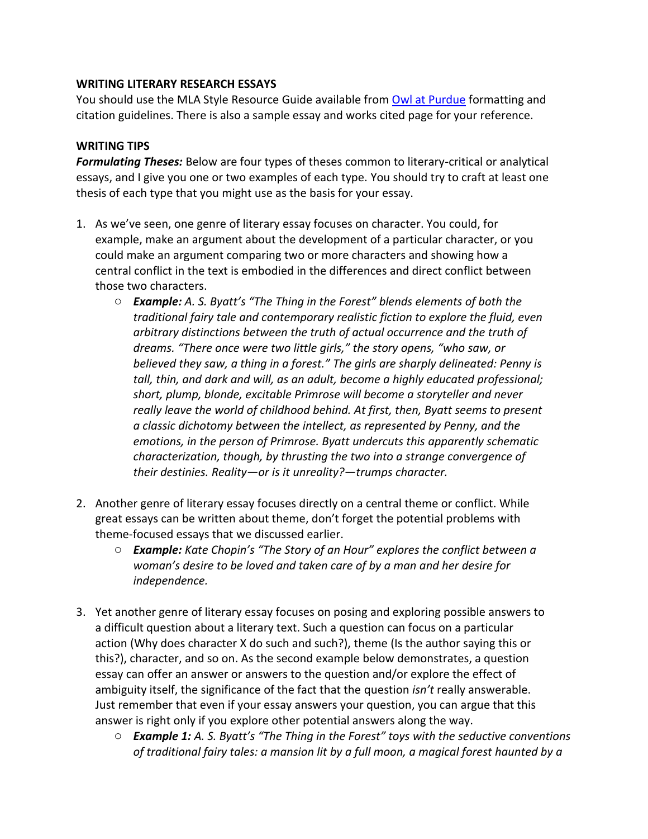## **WRITING LITERARY RESEARCH ESSAYS**

You should use the MLA Style Resource Guide available from [Owl at Purdue](https://owl.purdue.edu/owl/research_and_citation/mla_style/mla_style_introduction.html) formatting and citation guidelines. There is also a sample essay and works cited page for your reference.

## **WRITING TIPS**

*Formulating Theses:* Below are four types of theses common to literary-critical or analytical essays, and I give you one or two examples of each type. You should try to craft at least one thesis of each type that you might use as the basis for your essay.

- 1. As we've seen, one genre of literary essay focuses on character. You could, for example, make an argument about the development of a particular character, or you could make an argument comparing two or more characters and showing how a central conflict in the text is embodied in the differences and direct conflict between those two characters.
	- o *Example: A. S. Byatt's "The Thing in the Forest" blends elements of both the traditional fairy tale and contemporary realistic fiction to explore the fluid, even arbitrary distinctions between the truth of actual occurrence and the truth of dreams. "There once were two little girls," the story opens, "who saw, or believed they saw, a thing in a forest." The girls are sharply delineated: Penny is tall, thin, and dark and will, as an adult, become a highly educated professional; short, plump, blonde, excitable Primrose will become a storyteller and never really leave the world of childhood behind. At first, then, Byatt seems to present a classic dichotomy between the intellect, as represented by Penny, and the emotions, in the person of Primrose. Byatt undercuts this apparently schematic characterization, though, by thrusting the two into a strange convergence of their destinies. Reality—or is it unreality?—trumps character.*
- 2. Another genre of literary essay focuses directly on a central theme or conflict. While great essays can be written about theme, don't forget the potential problems with theme-focused essays that we discussed earlier.
	- o *Example: Kate Chopin's "The Story of an Hour" explores the conflict between a woman's desire to be loved and taken care of by a man and her desire for independence.*
- 3. Yet another genre of literary essay focuses on posing and exploring possible answers to a difficult question about a literary text. Such a question can focus on a particular action (Why does character X do such and such?), theme (Is the author saying this or this?), character, and so on. As the second example below demonstrates, a question essay can offer an answer or answers to the question and/or explore the effect of ambiguity itself, the significance of the fact that the question *isn't* really answerable. Just remember that even if your essay answers your question, you can argue that this answer is right only if you explore other potential answers along the way.
	- o *Example 1: A. S. Byatt's "The Thing in the Forest" toys with the seductive conventions of traditional fairy tales: a mansion lit by a full moon, a magical forest haunted by a*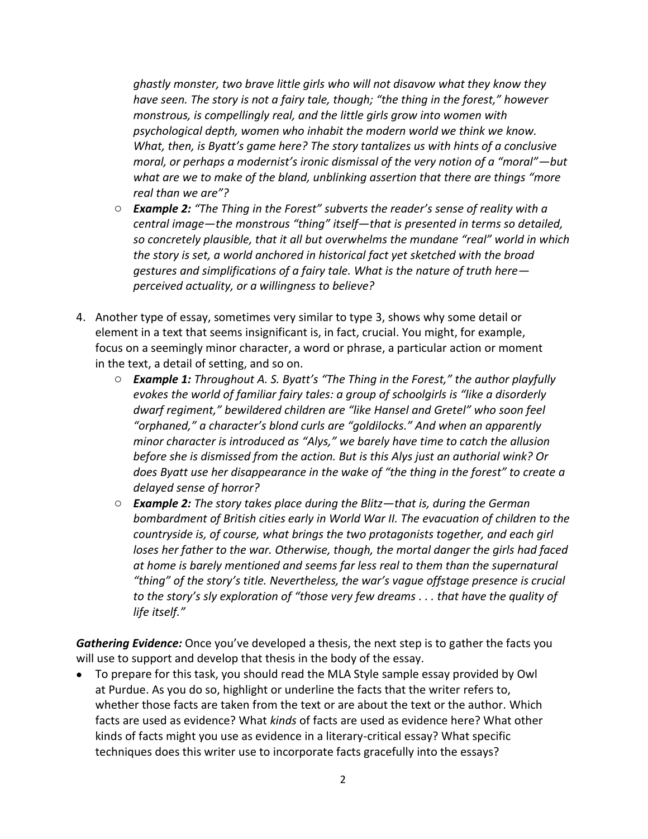*ghastly monster, two brave little girls who will not disavow what they know they have seen. The story is not a fairy tale, though; "the thing in the forest," however monstrous, is compellingly real, and the little girls grow into women with psychological depth, women who inhabit the modern world we think we know. What, then, is Byatt's game here? The story tantalizes us with hints of a conclusive moral, or perhaps a modernist's ironic dismissal of the very notion of a "moral"—but what are we to make of the bland, unblinking assertion that there are things "more real than we are"?*

- o *Example 2: "The Thing in the Forest" subverts the reader's sense of reality with a central image—the monstrous "thing" itself—that is presented in terms so detailed, so concretely plausible, that it all but overwhelms the mundane "real" world in which the story is set, a world anchored in historical fact yet sketched with the broad gestures and simplifications of a fairy tale. What is the nature of truth here perceived actuality, or a willingness to believe?*
- 4. Another type of essay, sometimes very similar to type 3, shows why some detail or element in a text that seems insignificant is, in fact, crucial. You might, for example, focus on a seemingly minor character, a word or phrase, a particular action or moment in the text, a detail of setting, and so on.
	- o *Example 1: Throughout A. S. Byatt's "The Thing in the Forest," the author playfully evokes the world of familiar fairy tales: a group of schoolgirls is "like a disorderly dwarf regiment," bewildered children are "like Hansel and Gretel" who soon feel "orphaned," a character's blond curls are "goldilocks." And when an apparently minor character is introduced as "Alys," we barely have time to catch the allusion before she is dismissed from the action. But is this Alys just an authorial wink? Or does Byatt use her disappearance in the wake of "the thing in the forest" to create a delayed sense of horror?*
	- o *Example 2: The story takes place during the Blitz—that is, during the German bombardment of British cities early in World War II. The evacuation of children to the countryside is, of course, what brings the two protagonists together, and each girl loses her father to the war. Otherwise, though, the mortal danger the girls had faced at home is barely mentioned and seems far less real to them than the supernatural "thing" of the story's title. Nevertheless, the war's vague offstage presence is crucial to the story's sly exploration of "those very few dreams . . . that have the quality of life itself."*

*Gathering Evidence:* Once you've developed a thesis, the next step is to gather the facts you will use to support and develop that thesis in the body of the essay.

• To prepare for this task, you should read the MLA Style sample essay provided by Owl at Purdue. As you do so, highlight or underline the facts that the writer refers to, whether those facts are taken from the text or are about the text or the author. Which facts are used as evidence? What *kinds* of facts are used as evidence here? What other kinds of facts might you use as evidence in a literary-critical essay? What specific techniques does this writer use to incorporate facts gracefully into the essays?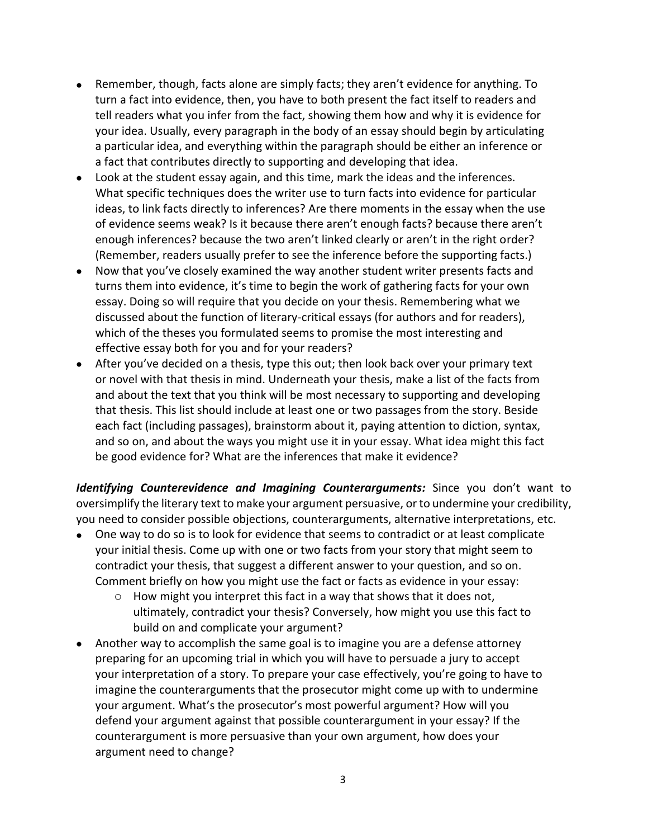- Remember, though, facts alone are simply facts; they aren't evidence for anything. To turn a fact into evidence, then, you have to both present the fact itself to readers and tell readers what you infer from the fact, showing them how and why it is evidence for your idea. Usually, every paragraph in the body of an essay should begin by articulating a particular idea, and everything within the paragraph should be either an inference or a fact that contributes directly to supporting and developing that idea.
- Look at the student essay again, and this time, mark the ideas and the inferences. What specific techniques does the writer use to turn facts into evidence for particular ideas, to link facts directly to inferences? Are there moments in the essay when the use of evidence seems weak? Is it because there aren't enough facts? because there aren't enough inferences? because the two aren't linked clearly or aren't in the right order? (Remember, readers usually prefer to see the inference before the supporting facts.)
- Now that you've closely examined the way another student writer presents facts and turns them into evidence, it's time to begin the work of gathering facts for your own essay. Doing so will require that you decide on your thesis. Remembering what we discussed about the function of literary-critical essays (for authors and for readers), which of the theses you formulated seems to promise the most interesting and effective essay both for you and for your readers?
- After you've decided on a thesis, type this out; then look back over your primary text or novel with that thesis in mind. Underneath your thesis, make a list of the facts from and about the text that you think will be most necessary to supporting and developing that thesis. This list should include at least one or two passages from the story. Beside each fact (including passages), brainstorm about it, paying attention to diction, syntax, and so on, and about the ways you might use it in your essay. What idea might this fact be good evidence for? What are the inferences that make it evidence?

*Identifying Counterevidence and Imagining Counterarguments:* Since you don't want to oversimplify the literary text to make your argument persuasive, or to undermine your credibility, you need to consider possible objections, counterarguments, alternative interpretations, etc.

- One way to do so is to look for evidence that seems to contradict or at least complicate your initial thesis. Come up with one or two facts from your story that might seem to contradict your thesis, that suggest a different answer to your question, and so on. Comment briefly on how you might use the fact or facts as evidence in your essay:
	- o How might you interpret this fact in a way that shows that it does not, ultimately, contradict your thesis? Conversely, how might you use this fact to build on and complicate your argument?
- Another way to accomplish the same goal is to imagine you are a defense attorney preparing for an upcoming trial in which you will have to persuade a jury to accept your interpretation of a story. To prepare your case effectively, you're going to have to imagine the counterarguments that the prosecutor might come up with to undermine your argument. What's the prosecutor's most powerful argument? How will you defend your argument against that possible counterargument in your essay? If the counterargument is more persuasive than your own argument, how does your argument need to change?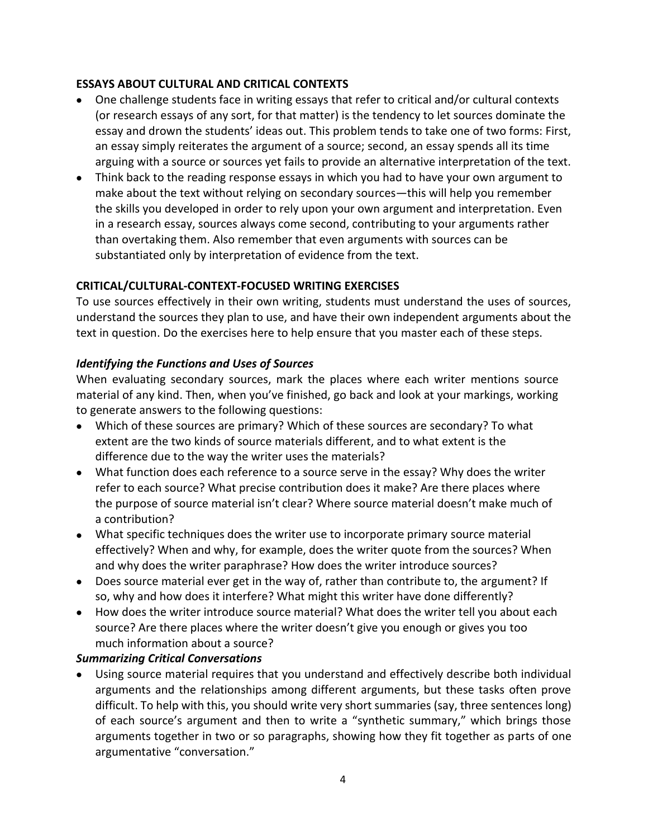## **ESSAYS ABOUT CULTURAL AND CRITICAL CONTEXTS**

- One challenge students face in writing essays that refer to critical and/or cultural contexts (or research essays of any sort, for that matter) is the tendency to let sources dominate the essay and drown the students' ideas out. This problem tends to take one of two forms: First, an essay simply reiterates the argument of a source; second, an essay spends all its time arguing with a source or sources yet fails to provide an alternative interpretation of the text.
- Think back to the reading response essays in which you had to have your own argument to make about the text without relying on secondary sources—this will help you remember the skills you developed in order to rely upon your own argument and interpretation. Even in a research essay, sources always come second, contributing to your arguments rather than overtaking them. Also remember that even arguments with sources can be substantiated only by interpretation of evidence from the text.

# **CRITICAL/CULTURAL-CONTEXT-FOCUSED WRITING EXERCISES**

To use sources effectively in their own writing, students must understand the uses of sources, understand the sources they plan to use, and have their own independent arguments about the text in question. Do the exercises here to help ensure that you master each of these steps.

## *Identifying the Functions and Uses of Sources*

When evaluating secondary sources, mark the places where each writer mentions source material of any kind. Then, when you've finished, go back and look at your markings, working to generate answers to the following questions:

- Which of these sources are primary? Which of these sources are secondary? To what extent are the two kinds of source materials different, and to what extent is the difference due to the way the writer uses the materials?
- What function does each reference to a source serve in the essay? Why does the writer refer to each source? What precise contribution does it make? Are there places where the purpose of source material isn't clear? Where source material doesn't make much of a contribution?
- What specific techniques does the writer use to incorporate primary source material effectively? When and why, for example, does the writer quote from the sources? When and why does the writer paraphrase? How does the writer introduce sources?
- Does source material ever get in the way of, rather than contribute to, the argument? If so, why and how does it interfere? What might this writer have done differently?
- How does the writer introduce source material? What does the writer tell you about each source? Are there places where the writer doesn't give you enough or gives you too much information about a source?

# *Summarizing Critical Conversations*

• Using source material requires that you understand and effectively describe both individual arguments and the relationships among different arguments, but these tasks often prove difficult. To help with this, you should write very short summaries (say, three sentences long) of each source's argument and then to write a "synthetic summary," which brings those arguments together in two or so paragraphs, showing how they fit together as parts of one argumentative "conversation."